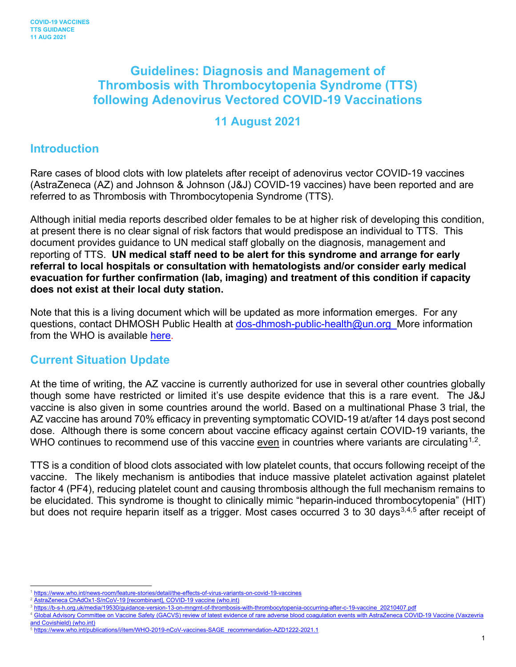# **Guidelines: Diagnosis and Management of Thrombosis with Thrombocytopenia Syndrome (TTS) following Adenovirus Vectored COVID-19 Vaccinations**

#### **11 August 2021**

#### **Introduction**

Rare cases of blood clots with low platelets after receipt of adenovirus vector COVID-19 vaccines (AstraZeneca (AZ) and Johnson & Johnson (J&J) COVID-19 vaccines) have been reported and are referred to as Thrombosis with Thrombocytopenia Syndrome (TTS).

Although initial media reports described older females to be at higher risk of developing this condition, at present there is no clear signal of risk factors that would predispose an individual to TTS. This document provides guidance to UN medical staff globally on the diagnosis, management and reporting of TTS. **UN medical staff need to be alert for this syndrome and arrange for early referral to local hospitals or consultation with hematologists and/or consider early medical evacuation for further confirmation (lab, imaging) and treatment of this condition if capacity does not exist at their local duty station.**

Note that this is a living document which will be updated as more information emerges. For any questions, contact DHMOSH Public Health at [dos-dhmosh-public-health@un.org](mailto:dos-dhmosh-public-health@un.org) More information from the WHO is available [here.](https://www.who.int/news/item/16-04-2021-global-advisory-committee-on-vaccine-safety-(gacvs)-review-of-latest-evidence-of-rare-adverse-blood-coagulation-events-with-astrazeneca-covid-19-vaccine-(vaxzevria-and-covishield))

#### **Current Situation Update**

At the time of writing, the AZ vaccine is currently authorized for use in several other countries globally though some have restricted or limited it's use despite evidence that this is a rare event. The J&J vaccine is also given in some countries around the world. Based on a multinational Phase 3 trial, the AZ vaccine has around 70% efficacy in preventing symptomatic COVID-19 at/after 14 days post second dose. Although there is some concern about vaccine efficacy against certain COVID-19 variants, the WHO continues to recommend use of this vaccine even in countries where variants are circulating<sup>[1](#page-0-0),2</sup>.

TTS is a condition of blood clots associated with low platelet counts, that occurs following receipt of the vaccine. The likely mechanism is antibodies that induce massive platelet activation against platelet factor 4 (PF4), reducing platelet count and causing thrombosis although the full mechanism remains to be elucidated. This syndrome is thought to clinically mimic "heparin-induced thrombocytopenia" (HIT) but does not require heparin itself as a trigger. Most cases occurred [3](#page-0-2) to 30 days<sup>3,[4](#page-0-3),[5](#page-0-4)</sup> after receipt of

<span id="page-0-0"></span><https://www.who.int/news-room/feature-stories/detail/the-effects-of-virus-variants-on-covid-19-vaccines>

<span id="page-0-2"></span><span id="page-0-1"></span>[AstraZeneca ChAdOx1-S/nCoV-19 \[recombinant\], COVID-19 vaccine \(who.int\)](https://www.who.int/publications/m/item/chadox1-s-recombinant-covid-19-vaccine)

[https://b-s-h.org.uk/media/19530/guidance-version-13-on-mngmt-of-thrombosis-with-thrombocytopenia-occurring-after-c-19-vaccine\\_20210407.pdf](https://b-s-h.org.uk/media/19530/guidance-version-13-on-mngmt-of-thrombosis-with-thrombocytopenia-occurring-after-c-19-vaccine_20210407.pdf)

<span id="page-0-3"></span><sup>4</sup> [Global Advisory Committee on Vaccine Safety \(GACVS\) review of latest evidence of rare adverse blood coagulation events with AstraZeneca COVID-19 Vaccine \(Vaxzevria](https://www.who.int/news/item/16-04-2021-global-advisory-committee-on-vaccine-safety-(gacvs)-review-of-latest-evidence-of-rare-adverse-blood-coagulation-events-with-astrazeneca-covid-19-vaccine-(vaxzevria-and-covishield))  [and Covishield\) \(who.int\)](https://www.who.int/news/item/16-04-2021-global-advisory-committee-on-vaccine-safety-(gacvs)-review-of-latest-evidence-of-rare-adverse-blood-coagulation-events-with-astrazeneca-covid-19-vaccine-(vaxzevria-and-covishield))

<span id="page-0-4"></span><sup>5</sup> [https://www.who.int/publications/i/item/WHO-2019-nCoV-vaccines-SAGE\\_recommendation-AZD1222-2021.1](https://www.who.int/publications/i/item/WHO-2019-nCoV-vaccines-SAGE_recommendation-AZD1222-2021.1)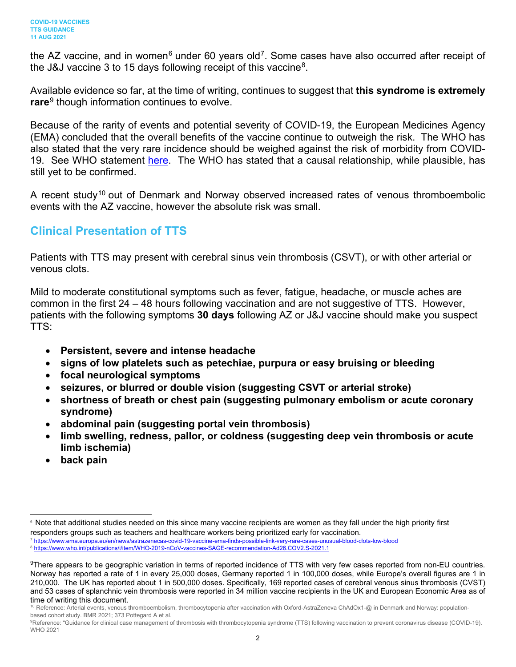the AZ vaccine, and in women<sup>[6](#page-1-0)</sup> under 60 years old<sup>7</sup>. Some cases have also occurred after receipt of the J&J vaccine 3 to 15 days following receipt of this vaccine<sup>[8](#page-1-2)</sup>.

Available evidence so far, at the time of writing, continues to suggest that **this syndrome is extremely rare**[9](#page-1-3) though information continues to evolve.

Because of the rarity of events and potential severity of COVID-19, the European Medicines Agency (EMA) concluded that the overall benefits of the vaccine continue to outweigh the risk. The WHO has also stated that the very rare incidence should be weighed against the risk of morbidity from COVID19. See WHO statement [here.](https://www.who.int/news/item/07-04-2021-interim-statement-of-the-covid-19-subcommittee-of-the-who-global-advisory-committee-on-vaccine-safety) The WHO has stated that a causal relationship, while plausible, has still yet to be confirmed.

A recent study<sup>[10](#page-1-4)</sup> out of Denmark and Norway observed increased rates of venous thromboembolic events with the AZ vaccine, however the absolute risk was small.

#### **Clinical Presentation of TTS**

Patients with TTS may present with cerebral sinus vein thrombosis (CSVT), or with other arterial or venous clots.

Mild to moderate constitutional symptoms such as fever, fatigue, headache, or muscle aches are common in the first 24 – 48 hours following vaccination and are not suggestive of TTS. However, patients with the following symptoms **30 days** following AZ or J&J vaccine should make you suspect TTS:

- **Persistent, severe and intense headache**
- **signs of low platelets such as petechiae, purpura or easy bruising or bleeding**
- **focal neurological symptoms**
- **seizures, or blurred or double vision (suggesting CSVT or arterial stroke)**
- **shortness of breath or chest pain (suggesting pulmonary embolism or acute coronary syndrome)**
- **abdominal pain (suggesting portal vein thrombosis)**
- **limb swelling, redness, pallor, or coldness (suggesting deep vein thrombosis or acute limb ischemia)**
- **back pain**

<span id="page-1-2"></span><span id="page-1-1"></span><sup>7</sup> <https://www.ema.europa.eu/en/news/astrazenecas-covid-19-vaccine-ema-finds-possible-link-very-rare-cases-unusual-blood-clots-low-blood> <sup>8</sup> <https://www.who.int/publications/i/item/WHO-2019-nCoV-vaccines-SAGE-recommendation-Ad26.COV2.S-2021.1>

<span id="page-1-0"></span><sup>&</sup>lt;sup>6</sup> Note that additional studies needed on this since many vaccine recipients are women as they fall under the high priority first responders groups such as teachers and healthcare workers being prioritized early for vaccination.

<span id="page-1-3"></span> $9$ There appears to be geographic variation in terms of reported incidence of TTS with very few cases reported from non-EU countries. Norway has reported a rate of 1 in every 25,000 doses, Germany reported 1 in 100,000 doses, while Europe's overall figures are 1 in 210,000. The UK has reported about 1 in 500,000 doses. Specifically, 169 reported cases of cerebral venous sinus thrombosis (CVST) and 53 cases of splanchnic vein thrombosis were reported in 34 million vaccine recipients in the UK and European Economic Area as of time of writing this document.

<span id="page-1-4"></span><sup>10</sup> Reference: Arterial events, venous thromboembolism, thrombocytopenia after vaccination with Oxford-AstraZeneva ChAdOx1-@ in Denmark and Norway: populationbased cohort study. BMR 2021; 373 Pottegard A et al.

<sup>9</sup>Reference: "Guidance for clinical case management of thrombosis with thrombocytopenia syndrome (TTS) following vaccination to prevent coronavirus disease (COVID-19). WHO 2021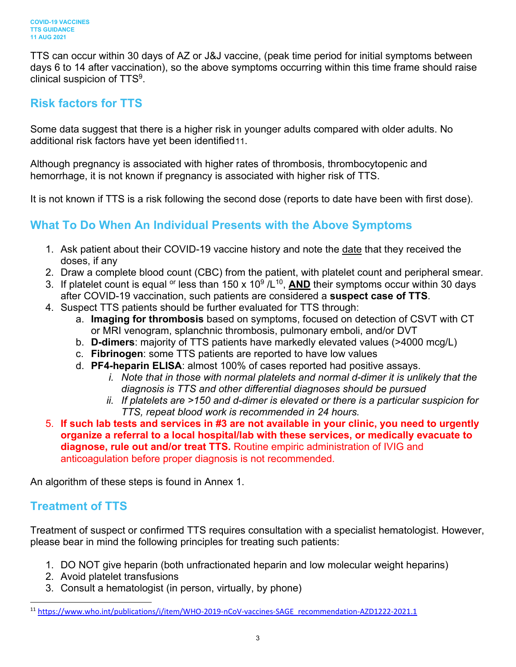TTS can occur within 30 days of AZ or J&J vaccine, (peak time period for initial symptoms between days 6 to 14 after vaccination), so the above symptoms occurring within this time frame should raise clinical suspicion of TTS9.

# **Risk factors for TTS**

Some data suggest that there is a higher risk in younger adults compared with older adults. No additional risk factors have yet been identified[11.](#page-2-0)

Although pregnancy is associated with higher rates of thrombosis, thrombocytopenic and hemorrhage, it is not known if pregnancy is associated with higher risk of TTS.

It is not known if TTS is a risk following the second dose (reports to date have been with first dose).

# **What To Do When An Individual Presents with the Above Symptoms**

- 1. Ask patient about their COVID-19 vaccine history and note the date that they received the doses, if any
- 2. Draw a complete blood count (CBC) from the patient, with platelet count and peripheral smear.
- 3. If platelet count is equal <sup>or</sup> less than 150 x 10<sup>9</sup>/L<sup>10</sup>, **AND** their symptoms occur within 30 days after COVID-19 vaccination, such patients are considered a **suspect case of TTS**.
- 4. Suspect TTS patients should be further evaluated for TTS through:
	- a. **Imaging for thrombosis** based on symptoms, focused on detection of CSVT with CT or MRI venogram, splanchnic thrombosis, pulmonary emboli, and/or DVT
	- b. **D-dimers**: majority of TTS patients have markedly elevated values (>4000 mcg/L)
	- c. **Fibrinogen**: some TTS patients are reported to have low values
	- d. **PF4-heparin ELISA**: almost 100% of cases reported had positive assays.
		- *i. Note that in those with normal platelets and normal d-dimer it is unlikely that the diagnosis is TTS and other differential diagnoses should be pursued*
		- *ii. If platelets are >150 and d-dimer is elevated or there is a particular suspicion for TTS, repeat blood work is recommended in 24 hours.*

5. **If such lab tests and services in #3 are not available in your clinic, you need to urgently organize a referral to a local hospital/lab with these services, or medically evacuate to diagnose, rule out and/or treat TTS.** Routine empiric administration of IVIG and anticoagulation before proper diagnosis is not recommended.

An algorithm of these steps is found in Annex 1.

## **Treatment of TTS**

Treatment of suspect or confirmed TTS requires consultation with a specialist hematologist. However, please bear in mind the following principles for treating such patients:

- 1. DO NOT give heparin (both unfractionated heparin and low molecular weight heparins)
- 2. Avoid platelet transfusions
- 3. Consult a hematologist (in person, virtually, by phone)

<span id="page-2-0"></span><sup>11</sup> [https://www.who.int/publications/i/item/WHO-2019-nCoV-vaccines-SAGE\\_recommendation-AZD1222-2021.1](https://www.who.int/publications/i/item/WHO-2019-nCoV-vaccines-SAGE_recommendation-AZD1222-2021.1)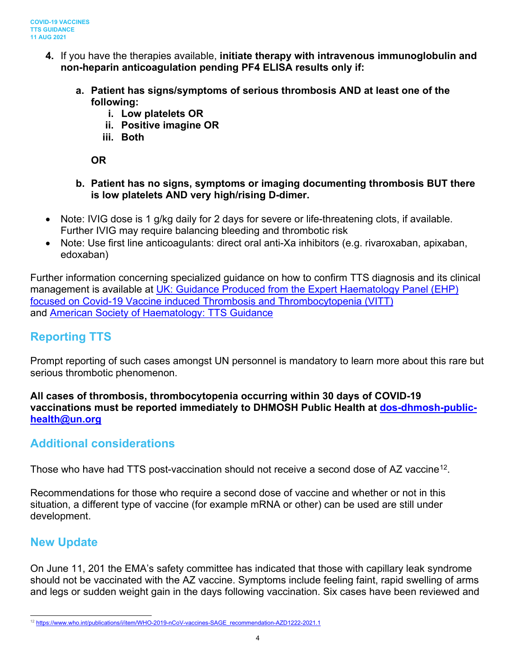- **4.** If you have the therapies available, **initiate therapy with intravenous immunoglobulin and non-heparin anticoagulation pending PF4 ELISA results only if:**
	- **a. Patient has signs/symptoms of serious thrombosis AND at least one of the following:**
		- **i. Low platelets OR**
		- **ii. Positive imagine OR**
		- **iii. Both**

**OR**

- **b. Patient has no signs, symptoms or imaging documenting thrombosis BUT there is low platelets AND very high/rising D-dimer.**
- Note: IVIG dose is 1 g/kg daily for 2 days for severe or life-threatening clots, if available. Further IVIG may require balancing bleeding and thrombotic risk
- Note: Use first line anticoagulants: direct oral anti-Xa inhibitors (e.g. rivaroxaban, apixaban, edoxaban)

Further information concerning specialized guidance on how to confirm TTS diagnosis and its clinical management is available at UK: Guidance Produced from the Expert Haematology Panel (EHP) [focused on Covid-19 Vaccine induced Thrombosis and Thrombocytopenia \(VITT\)](https://b-s-h.org.uk/media/19530/guidance-version-13-on-mngmt-of-thrombosis-with-thrombocytopenia-occurring-after-c-19-vaccine_20210407.pdf) and [American Society of Haematology: TTS Guidance](https://www.hematology.org/covid-19/vaccine-induced-immune-thrombotic-thrombocytopenia)

## **Reporting TTS**

Prompt reporting of such cases amongst UN personnel is mandatory to learn more about this rare but serious thrombotic phenomenon.

#### **All cases of thrombosis, thrombocytopenia occurring within 30 days of COVID-19 vaccinations must be reported immediately to DHMOSH Public Health at [dos-dhmosh-public](mailto:dos-dhmosh-public-health@un.org)[health@un.org](mailto:dos-dhmosh-public-health@un.org)**

## **Additional considerations**

Those who have had TTS post-vaccination should not receive a second dose of AZ vaccine<sup>12</sup>.

Recommendations for those who require a second dose of vaccine and whether or not in this situation, a different type of vaccine (for example mRNA or other) can be used are still under development.

## **New Update**

On June 11, 201 the EMA's safety committee has indicated that those with capillary leak syndrome should not be vaccinated with the AZ vaccine. Symptoms include feeling faint, rapid swelling of arms and legs or sudden weight gain in the days following vaccination. Six cases have been reviewed and

<span id="page-3-0"></span><sup>12</sup> [https://www.who.int/publications/i/item/WHO-2019-nCoV-vaccines-SAGE\\_recommendation-AZD1222-2021.1](https://www.who.int/publications/i/item/WHO-2019-nCoV-vaccines-SAGE_recommendation-AZD1222-2021.1)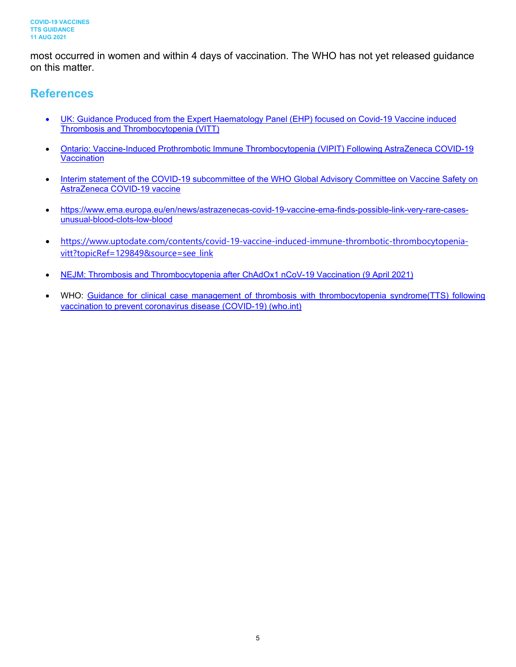most occurred in women and within 4 days of vaccination. The WHO has not yet released guidance on this matter.

#### **References**

- UK: Guidance Produced from the Expert Haematology [Panel \(EHP\) focused on Covid-19 Vaccine induced](https://b-s-h.org.uk/media/19530/guidance-version-13-on-mngmt-of-thrombosis-with-thrombocytopenia-occurring-after-c-19-vaccine_20210407.pdf)  [Thrombosis and Thrombocytopenia \(VITT\)](https://b-s-h.org.uk/media/19530/guidance-version-13-on-mngmt-of-thrombosis-with-thrombocytopenia-occurring-after-c-19-vaccine_20210407.pdf)
- [Ontario: Vaccine-Induced Prothrombotic Immune Thrombocytopenia \(VIPIT\) Following AstraZeneca COVID-19](https://covid19-sciencetable.ca/sciencebrief/vaccine-induced-prothrombotic-immune-thrombocytopenia-vipit-following-astrazeneca-covid-19-vaccination/)  **[Vaccination](https://covid19-sciencetable.ca/sciencebrief/vaccine-induced-prothrombotic-immune-thrombocytopenia-vipit-following-astrazeneca-covid-19-vaccination/)**
- Interim statement of the COVID-19 subcommittee of the WHO Global Advisory Committee on Vaccine Safety on [AstraZeneca COVID-19 vaccine](https://www.who.int/news/item/07-04-2021-interim-statement-of-the-covid-19-subcommittee-of-the-who-global-advisory-committee-on-vaccine-safety)
- [https://www.ema.europa.eu/en/news/astrazenecas-covid-19-vaccine-ema-finds-possible-link-very-rare-cases](https://www.ema.europa.eu/en/news/astrazenecas-covid-19-vaccine-ema-finds-possible-link-very-rare-cases-unusual-blood-clots-low-blood)[unusual-blood-clots-low-blood](https://www.ema.europa.eu/en/news/astrazenecas-covid-19-vaccine-ema-finds-possible-link-very-rare-cases-unusual-blood-clots-low-blood)
- [https://www.uptodate.com/contents/covid-19-vaccine-induced-immune-thrombotic-thrombocytopenia](https://www.uptodate.com/contents/covid-19-vaccine-induced-immune-thrombotic-thrombocytopenia-vitt?topicRef=129849&source=see_link)[vitt?topicRef=129849&source=see\\_link](https://www.uptodate.com/contents/covid-19-vaccine-induced-immune-thrombotic-thrombocytopenia-vitt?topicRef=129849&source=see_link)
- [NEJM: Thrombosis and Thrombocytopenia after ChAdOx1 nCoV-19 Vaccination \(9 April 2021\)](https://www.nejm.org/doi/full/10.1056/NEJMoa2104882)
- WHO: Guidance for clinical case management of thrombosis with thrombocytopenia syndrome(TTS) following [vaccination to prevent coronavirus disease \(COVID-19\) \(who.int\)](https://www.who.int/publications/i/item/WHO-2019-nCoV-TTS-2021.1)